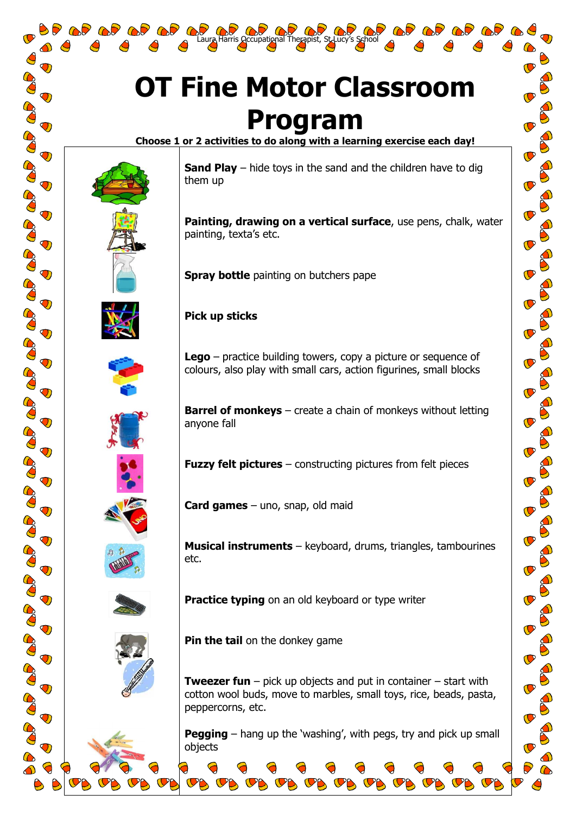## **OT Fine Motor Classroom Program**

Laura Harris Occupational Therapist, St. Lucy's School

**Choose 1 or 2 activities to do along with a learning exercise each day!**



**OP OP OP OF** 

 $\bigcirc$ 

 $\mathbf{O}$ 

 $\mathbf \sigma$ 

 $\bigcirc$ 

 $\bigcirc$ 

 $\bigcirc$ 

 $\mathbf{T}$ 

 $\mathbf \Omega$ 

 $\bigcirc$ 

 $\mathbf 0$ 

 $\bigcirc$ 

 $\bigcirc$ 

 $\bigcirc$ 

 $\bigcirc$ 

 $\bigcirc$ 

 $\bigcirc$ 

 $\mathbf \Omega$ 

 $\bigcirc$ 

 $\bigcirc$ 

 $\mathbf{\sigma}$ 

 $\bigcirc$ 



**Painting, drawing on a vertical surface**, use pens, chalk, water painting, texta's etc.

**Spray bottle** painting on butchers pape

**Pick up sticks**

**Lego** – practice building towers, copy a picture or sequence of colours, also play with small cars, action figurines, small blocks

**Barrel of monkeys** – create a chain of monkeys without letting anyone fall

**Musical instruments** – keyboard, drums, triangles, tambourines

**Practice typing** on an old keyboard or type writer

**Fuzzy felt pictures** – constructing pictures from felt pieces

etc.







**Pin the tail** on the donkey game

**Card games** – uno, snap, old maid

**Tweezer fun** – pick up objects and put in container – start with cotton wool buds, move to marbles, small toys, rice, beads, pasta, peppercorns, etc.

**Pegging** – hang up the 'washing', with pegs, try and pick up small objects

 $\mathbf{C}$ 

 $\mathbf{C}$ 

 $\mathbf{C}$ 

 $\mathbb C$ 

 $\mathcal{P}$ 

 $\mathbf{C}$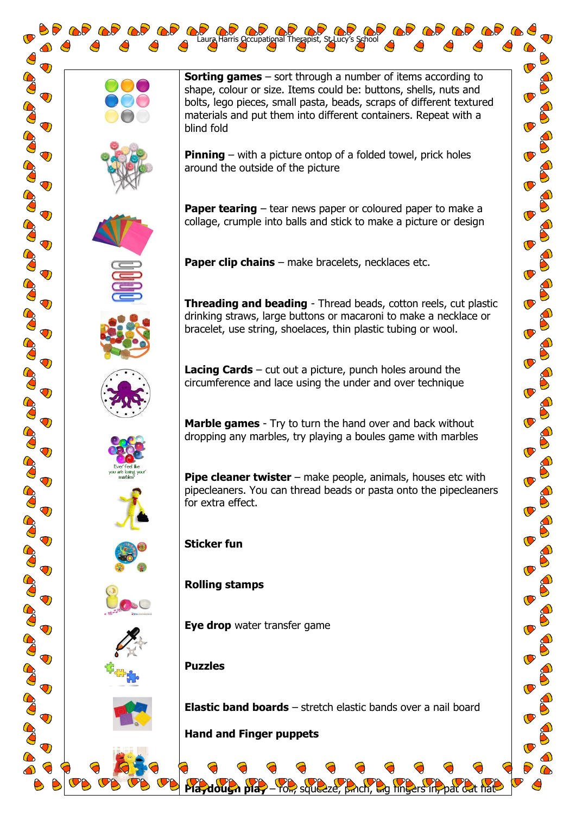$\bigcirc$ 

 $\overline{\mathbf{O}}$ 

 $\bigcirc$ 

 $\bigcirc$ 

 $\bigcirc$ 

 $\bigcirc$ 

 $\bigcirc$ 

 $\bigcirc$ 

 $\bigcirc$ 

 $\bigcirc$ 

 $\overline{\mathbf{O}}$ 

 $\bigcirc$ 

 $\bigcirc$ 

 $\bigcirc$ 

 $\bigcirc$ 

 $\bigcirc$ 

 $\bigcirc$ 

 $\bigcirc$ 

 $\bigcirc$ 

 $\bigcirc$ 

 $\bigcirc$ 

 $\mathbf{Q}$ 

CO

**OP OP OP OP O** 























**Sorting games** – sort through a number of items according to shape, colour or size. Items could be: buttons, shells, nuts and bolts, lego pieces, small pasta, beads, scraps of different textured materials and put them into different containers. Repeat with a blind fold

**Pinning** – with a picture ontop of a folded towel, prick holes around the outside of the picture

**Paper tearing** – tear news paper or coloured paper to make a collage, crumple into balls and stick to make a picture or design

**Paper clip chains** – make bracelets, necklaces etc.

Laura Harris Occupational Therapist, St. Lucy's School

**Threading and beading** - Thread beads, cotton reels, cut plastic drinking straws, large buttons or macaroni to make a necklace or bracelet, use string, shoelaces, thin plastic tubing or wool.

**Lacing Cards** – cut out a picture, punch holes around the circumference and lace using the under and over technique

**Marble games** - Try to turn the hand over and back without dropping any marbles, try playing a boules game with marbles

**Pipe cleaner twister** – make people, animals, houses etc with pipecleaners. You can thread beads or pasta onto the pipecleaners for extra effect.

**Sticker fun**

## **Rolling stamps**

**Eye drop** water transfer game

## **Puzzles**

**Elastic band boards** – stretch elastic bands over a nail board

**Playdough play** – roll, squeeze, pinch, and fingers in, pat out flat-

**Hand and Finger puppets**